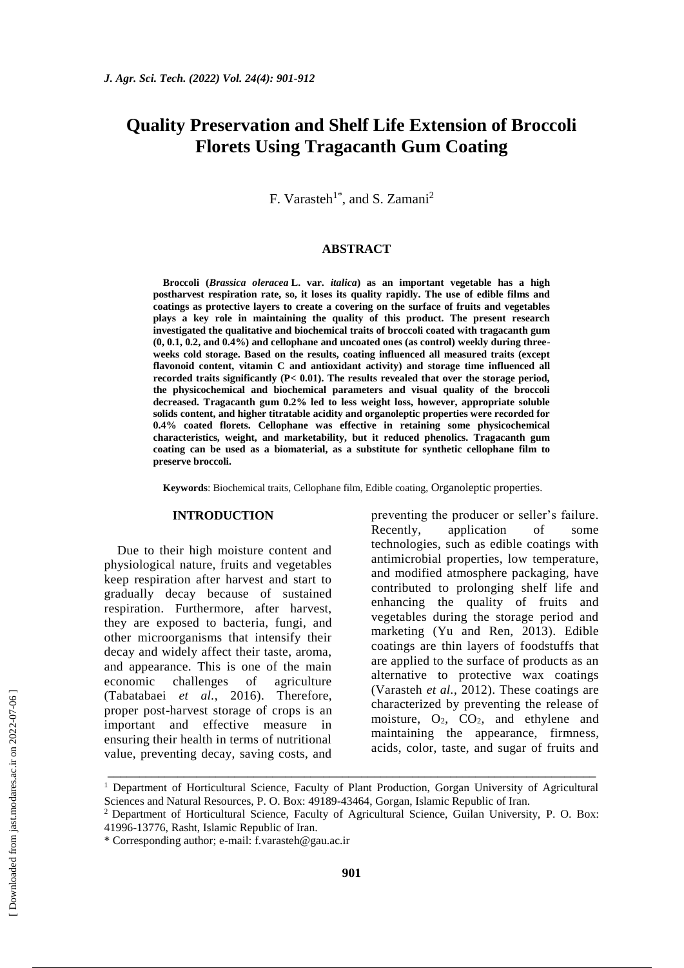## **Quality Preservation and Shelf Life Extension of Broccoli Florets Using Tragacanth Gum Coating**

F. Varasteh<sup>1\*</sup>, and S. Zamani<sup>2</sup>

#### **ABSTRACT**

**Broccoli (***Brassica oleracea* **L. var.** *italica***) as an important vegetable has a high postharvest respiration rate, so, it loses its quality rapidly. The use of edible films and coatings as protective layers to create a covering on the surface of fruits and vegetables plays a key role in maintaining the quality of this product. The present research investigated the qualitative and biochemical traits of broccoli coated with tragacanth gum (0, 0.1, 0.2, and 0.4%) and cellophane and uncoated ones (as control) weekly during threeweeks cold storage. Based on the results, coating influenced all measured traits (except flavonoid content, vitamin C and antioxidant activity) and storage time influenced all recorded traits significantly (P< 0.01). The results revealed that over the storage period, the physicochemical and biochemical parameters and visual quality of the broccoli decreased. Tragacanth gum 0.2% led to less weight loss, however, appropriate soluble solids content, and higher titratable acidity and organoleptic properties were recorded for 0.4% coated florets. Cellophane was effective in retaining some physicochemical characteristics, weight, and marketability, but it reduced phenolics. Tragacanth gum coating can be used as a biomaterial, as a substitute for synthetic cellophane film to preserve broccoli.**

**Keywords**: Biochemical traits, Cellophane film, Edible coating, Organoleptic properties.

#### **INTRODUCTION**

Due to their high moisture content and physiological nature, fruits and vegetables keep respiration after harvest and start to gradually decay because of sustained respiration. Furthermore, after harvest, they are exposed to bacteria, fungi, and other microorganisms that intensify their decay and widely affect their taste, aroma, and appearance. This is one of the main economic challenges of agriculture (Tabatabaei *et al.*, 2016). Therefore, proper post-harvest storage of crops is an important and effective measure in ensuring their health in terms of nutritional value, preventing decay, saving costs, and

preventing the producer or seller's failure. Recently, application of some technologies, such as edible coatings with antimicrobial properties, low temperature, and modified atmosphere packaging, have contributed to prolonging shelf life and enhancing the quality of fruits and vegetables during the storage period and marketing (Yu and Ren, 2013). Edible coatings are thin layers of foodstuffs that are applied to the surface of products as an alternative to protective wax coatings (Varasteh *et al.*, 2012). These coatings are characterized by preventing the release of moisture,  $O_2$ ,  $CO_2$ , and ethylene and maintaining the appearance, firmness, acids, color, taste, and sugar of fruits and

\_\_\_\_\_\_\_\_\_\_\_\_\_\_\_\_\_\_\_\_\_\_\_\_\_\_\_\_\_\_\_\_\_\_\_\_\_\_\_\_\_\_\_\_\_\_\_\_\_\_\_\_\_\_\_\_\_\_\_\_\_\_\_\_\_\_\_\_\_\_\_\_\_\_\_\_\_ <sup>1</sup> Department of Horticultural Science, Faculty of Plant Production, Gorgan University of Agricultural Sciences and Natural Resources, P. O. Box: 49189-43464, Gorgan, Islamic Republic of Iran.

<sup>2</sup> Department of Horticultural Science, Faculty of Agricultural Science, Guilan University, P. O. Box: 41996-13776, Rasht, Islamic Republic of Iran.

<sup>\*</sup> Corresponding author; e-mail: [f.varasteh@gau.ac.ir](mailto:f.varasteh@gau.ac.ir)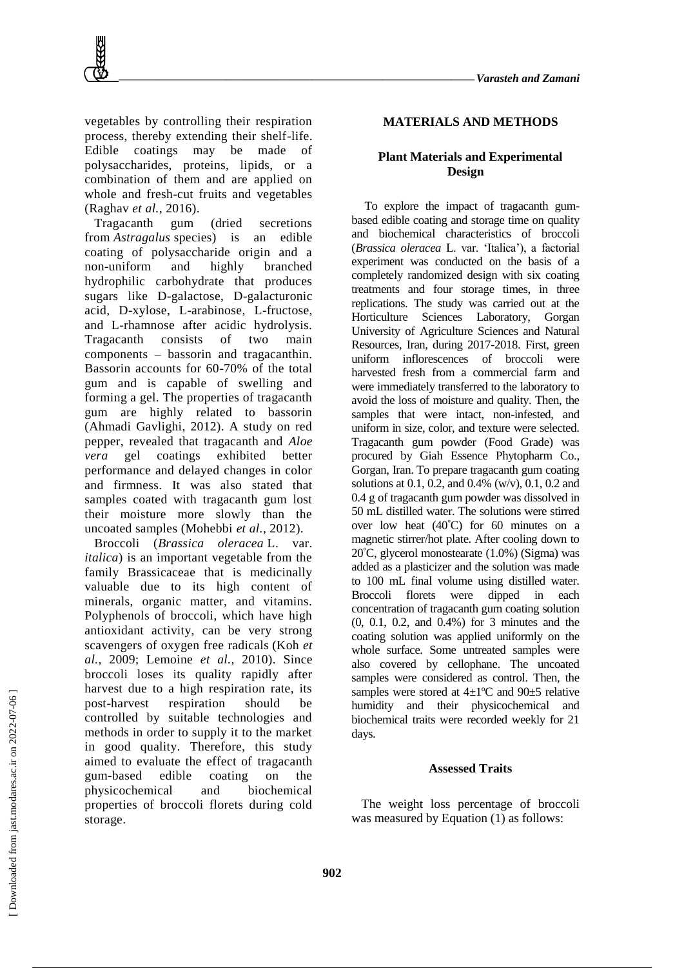

vegetables by controlling their respiration process, thereby extending their shelf-life. Edible coatings may be made of polysaccharides, proteins, lipids, or a combination of them and are applied on whole and fresh-cut fruits and vegetables (Raghav *et al.*, 2016).

Tragacanth gum (dried secretions from *Astragalus* species) is an edible coating of polysaccharide origin and a non-uniform and highly branched hydrophilic carbohydrate that produces sugars like D-galactose, D-galacturonic acid, D-xylose, L-arabinose, L-fructose, and L-rhamnose after acidic hydrolysis. Tragacanth consists of two main components – bassorin and tragacanthin. Bassorin accounts for 60-70% of the total gum and is capable of swelling and forming a gel. The properties of tragacanth gum are highly related to bassorin (Ahmadi Gavlighi, 2012). A study on red pepper, revealed that tragacanth and *Aloe vera* gel coatings exhibited better performance and delayed changes in color and firmness. It was also stated that samples coated with tragacanth gum lost their moisture more slowly than the uncoated samples (Mohebbi *et al.*, 2012).

Broccoli (*Brassica oleracea* L. var. *italica*) is an important vegetable from the family Brassicaceae that is medicinally valuable due to its high content of minerals, organic matter, and vitamins. Polyphenols of broccoli, which have high antioxidant activity, can be very strong scavengers of oxygen free radicals (Koh *et al.*, 2009; Lemoine *et al.*, 2010). Since broccoli loses its quality rapidly after harvest due to a high respiration rate, its post-harvest respiration should be controlled by suitable technologies and methods in order to supply it to the market in good quality. Therefore, this study aimed to evaluate the effect of tragacanth gum-based edible coating on the physicochemical and biochemical properties of broccoli florets during cold storage.

## **MATERIALS AND METHODS**

## **Plant Materials and Experimental Design**

To explore the impact of tragacanth gumbased edible coating and storage time on quality and biochemical characteristics of broccoli (*Brassica oleracea* L. var. 'Italica'), a factorial experiment was conducted on the basis of a completely randomized design with six coating treatments and four storage times, in three replications. The study was carried out at the Horticulture Sciences Laboratory, Gorgan University of Agriculture Sciences and Natural Resources, Iran, during 2017-2018. First, green uniform inflorescences of broccoli were harvested fresh from a commercial farm and were immediately transferred to the laboratory to avoid the loss of moisture and quality. Then, the samples that were intact, non-infested, and uniform in size, color, and texture were selected. Tragacanth gum powder (Food Grade) was procured by Giah Essence Phytopharm Co., Gorgan, Iran. To prepare tragacanth gum coating solutions at 0.1, 0.2, and 0.4% (w/v), 0.1, 0.2 and 0.4 g of tragacanth gum powder was dissolved in 50 mL distilled water. The solutions were stirred over low heat (40°C) for 60 minutes on a magnetic stirrer/hot plate. After cooling down to 20°C, glycerol monostearate (1.0%) (Sigma) was added as a plasticizer and the solution was made to 100 mL final volume using distilled water. Broccoli florets were dipped in each concentration of tragacanth gum coating solution (0, 0.1, 0.2, and 0.4%) for 3 minutes and the coating solution was applied uniformly on the whole surface. Some untreated samples were also covered by cellophane. The uncoated samples were considered as control. Then, the samples were stored at 4±1ºC and 90±5 relative humidity and their physicochemical and biochemical traits were recorded weekly for 21 days.

#### **Assessed Traits**

The weight loss percentage of broccoli was measured by Equation (1) as follows: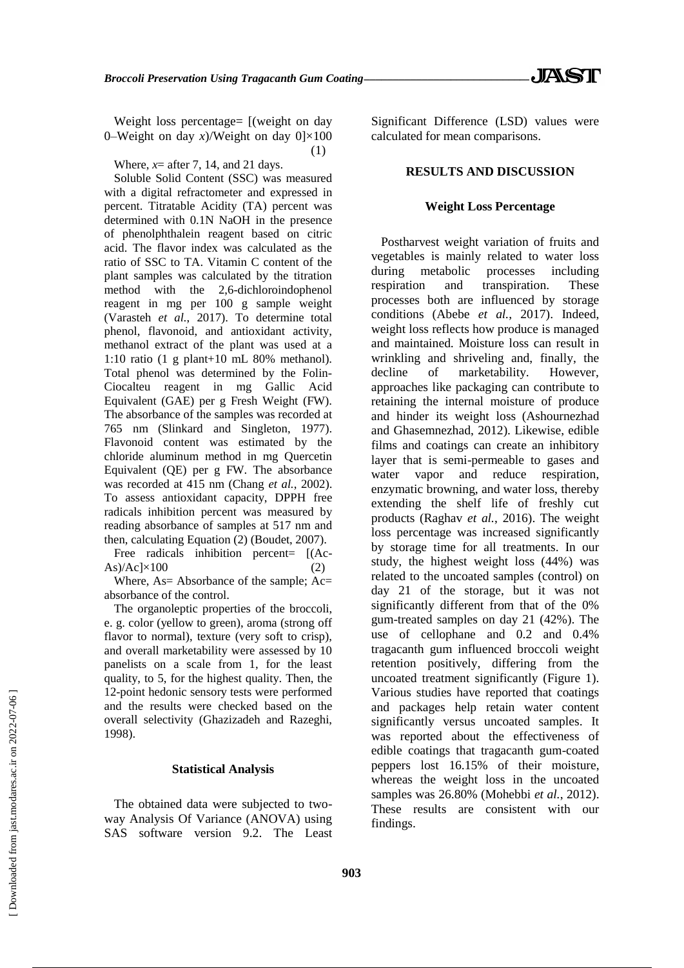Weight loss percentage=  $[(weight on day)]$ 0–Weight on day *x*)/Weight on day 0]×100 (1)

Where,  $x=$  after 7, 14, and 21 days.

Soluble Solid Content (SSC) was measured with a digital refractometer and expressed in percent. Titratable Acidity (TA) percent was determined with 0.1N NaOH in the presence of phenolphthalein reagent based on citric acid. The flavor index was calculated as the ratio of SSC to TA. Vitamin C content of the plant samples was calculated by the titration method with the 2,6-dichloroindophenol reagent in mg per 100 g sample weight (Varasteh *et al.*, 2017). To determine total phenol, flavonoid, and antioxidant activity, methanol extract of the plant was used at a 1:10 ratio (1 g plant+10 mL 80% methanol). Total phenol was determined by the Folin-Ciocalteu reagent in mg Gallic Acid Equivalent (GAE) per g Fresh Weight (FW). The absorbance of the samples was recorded at 765 nm (Slinkard and Singleton, 1977). Flavonoid content was estimated by the chloride aluminum method in mg Quercetin Equivalent (QE) per g FW. The absorbance was recorded at 415 nm (Chang *et al.*, 2002). To assess antioxidant capacity, DPPH free radicals inhibition percent was measured by reading absorbance of samples at 517 nm and then, calculating Equation (2) (Boudet, 2007).

Free radicals inhibition percent= [(Ac- $\text{As})/\text{Ac} \times 100$  (2)

Where, As= Absorbance of the sample; Ac= absorbance of the control.

The organoleptic properties of the broccoli, e. g. color (yellow to green), aroma (strong off flavor to normal), texture (very soft to crisp), and overall marketability were assessed by 10 panelists on a scale from 1, for the least quality, to 5, for the highest quality. Then, the 12-point hedonic sensory tests were performed and the results were checked based on the overall selectivity (Ghazizadeh and Razeghi, 1998).

#### **Statistical Analysis**

The obtained data were subjected to twoway Analysis Of Variance (ANOVA) using SAS software version 9.2. The Least Significant Difference (LSD) values were calculated for mean comparisons.

## **RESULTS AND DISCUSSION**

#### **Weight Loss Percentage**

Postharvest weight variation of fruits and vegetables is mainly related to water loss during metabolic processes including respiration and transpiration. These processes both are influenced by storage conditions (Abebe *et al.*, 2017). Indeed, weight loss reflects how produce is managed and maintained. Moisture loss can result in wrinkling and shriveling and, finally, the decline of marketability. However, approaches like packaging can contribute to retaining the internal moisture of produce and hinder its weight loss (Ashournezhad and Ghasemnezhad, 2012). Likewise, edible films and coatings can create an inhibitory layer that is semi-permeable to gases and water vapor and reduce respiration, enzymatic browning, and water loss, thereby extending the shelf life of freshly cut products (Raghav *et al.*, 2016). The weight loss percentage was increased significantly by storage time for all treatments. In our study, the highest weight loss (44%) was related to the uncoated samples (control) on day 21 of the storage, but it was not significantly different from that of the 0% gum-treated samples on day 21 (42%). The use of cellophane and 0.2 and 0.4% tragacanth gum influenced broccoli weight retention positively, differing from the uncoated treatment significantly (Figure 1). Various studies have reported that coatings and packages help retain water content significantly versus uncoated samples. It was reported about the effectiveness of edible coatings that tragacanth gum-coated peppers lost 16.15% of their moisture, whereas the weight loss in the uncoated samples was 26.80% (Mohebbi *et al.*, 2012). These results are consistent with our findings.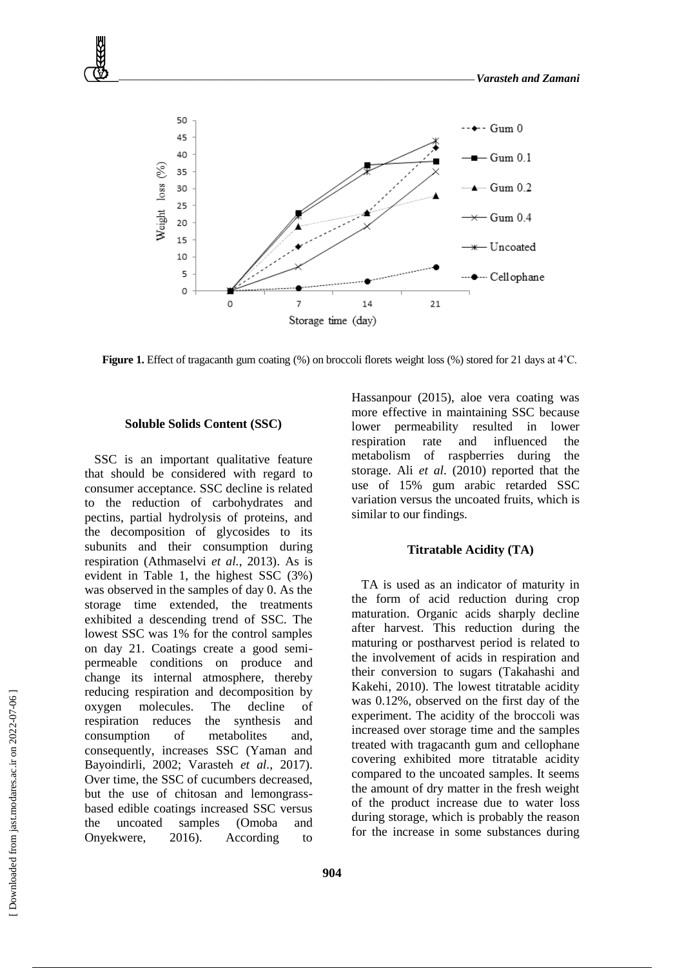

**Figure 1.** Effect of tragacanth gum coating (%) on broccoli florets weight loss (%) stored for 21 days at 4<sup>°</sup>C.

#### **Soluble Solids Content (SSC)**

SSC is an important qualitative feature that should be considered with regard to consumer acceptance. SSC decline is related to the reduction of carbohydrates and pectins, partial hydrolysis of proteins, and the decomposition of glycosides to its subunits and their consumption during respiration (Athmaselvi *et al.*, 2013). As is evident in Table 1, the highest SSC (3%) was observed in the samples of day 0. As the storage time extended, the treatments exhibited a descending trend of SSC. The lowest SSC was 1% for the control samples on day 21. Coatings create a good semipermeable conditions on produce and change its internal atmosphere, thereby reducing respiration and decomposition by oxygen molecules. The decline of respiration reduces the synthesis and consumption of metabolites and, consequently, increases SSC (Yaman and Bayoindirli, 2002; Varasteh *et al.*, 2017). Over time, the SSC of cucumbers decreased, but the use of chitosan and lemongrassbased edible coatings increased SSC versus the uncoated samples (Omoba and Onyekwere, 2016). According to

Hassanpour (2015), aloe vera coating was more effective in maintaining SSC because lower permeability resulted in lower respiration rate and influenced the metabolism of raspberries during the storage. Ali *et al*. (2010) reported that the use of 15% gum arabic retarded SSC variation versus the uncoated fruits, which is similar to our findings.

## **Titratable Acidity (TA)**

TA is used as an indicator of maturity in the form of acid reduction during crop maturation. Organic acids sharply decline after harvest. This reduction during the maturing or postharvest period is related to the involvement of acids in respiration and their conversion to sugars (Takahashi and Kakehi, 2010). The lowest titratable acidity was 0.12%, observed on the first day of the experiment. The acidity of the broccoli was increased over storage time and the samples treated with tragacanth gum and cellophane covering exhibited more titratable acidity compared to the uncoated samples. It seems the amount of dry matter in the fresh weight of the product increase due to water loss during storage, which is probably the reason for the increase in some substances during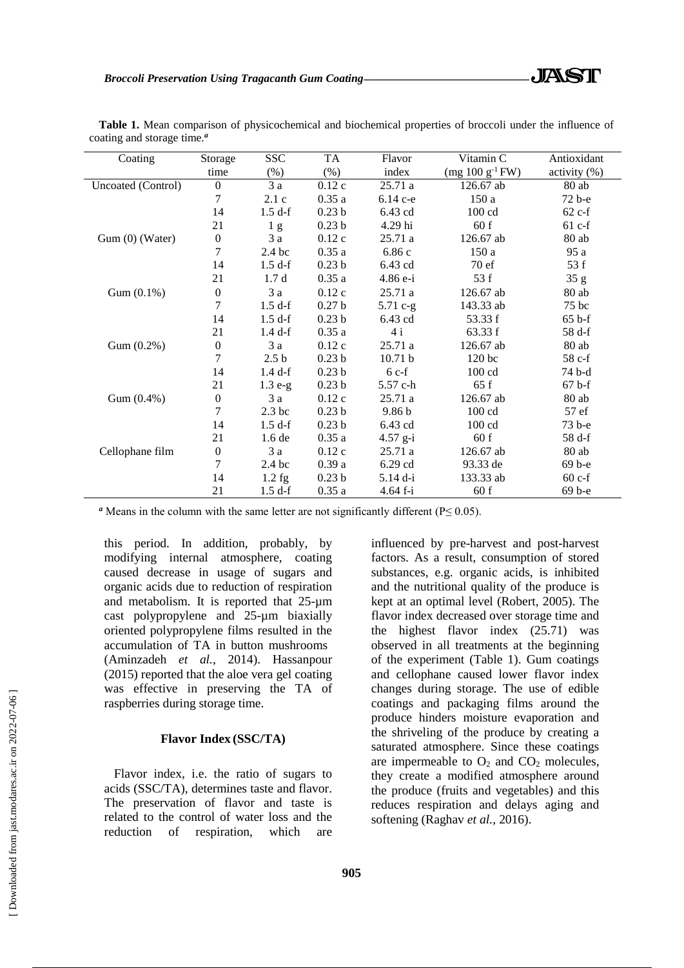| Coating            | Storage          | <b>SSC</b>        | TA                | Flavor            | Vitamin C           | Antioxidant  |
|--------------------|------------------|-------------------|-------------------|-------------------|---------------------|--------------|
|                    | time             | (% )              | $(\%)$            | index             | $(mg 100 g^{-1}FW)$ | activity (%) |
| Uncoated (Control) | $\overline{0}$   | 3a                | 0.12c             | 25.71 a           | 126.67 ab           | 80 ab        |
|                    | 7                | 2.1c              | 0.35a             | 6.14 c-e          | 150a                | 72 b-е       |
|                    | 14               | 1.5 df            | 0.23 <sub>b</sub> | 6.43 cd           | $100 \text{ cd}$    | $62$ c-f     |
|                    | 21               | 1 <sub>g</sub>    | 0.23 <sub>b</sub> | 4.29 hi           | 60 f                | 61 c-f       |
| Gum (0) (Water)    | $\boldsymbol{0}$ | 3a                | 0.12c             | 25.71 a           | 126.67 ab           | $80$ ab      |
|                    | $\overline{7}$   | 2.4 <sub>bc</sub> | 0.35a             | 6.86c             | 150a                | 95 a         |
|                    | 14               | 1.5 df            | 0.23 <sub>b</sub> | 6.43 cd           | 70ef                | 53 f         |
|                    | 21               | 1.7d              | 0.35a             | 4.86 e-i          | 53 f                | 35 g         |
| Gum (0.1%)         | $\boldsymbol{0}$ | 3a                | 0.12c             | 25.71 a           | 126.67 ab           | $80$ ab      |
|                    | 7                | 1.5 df            | 0.27 <sub>b</sub> | $5.71 c-g$        | 143.33 ab           | 75 bc        |
|                    | 14               | 1.5 df            | 0.23 <sub>b</sub> | 6.43 cd           | 53.33 f             | $65 b-f$     |
|                    | 21               | 1.4 df            | 0.35a             | 4i                | 63.33 f             | 58 d-f       |
| Gum (0.2%)         | $\boldsymbol{0}$ | 3a                | 0.12c             | 25.71a            | 126.67 ab           | $80$ ab      |
|                    | 7                | 2.5 <sub>b</sub>  | 0.23 <sub>b</sub> | 10.71 b           | 120 <sub>bc</sub>   | 58 c-f       |
|                    | 14               | 1.4 df            | 0.23 <sub>b</sub> | $6c-f$            | $100 \text{ cd}$    | 74 b-d       |
|                    | 21               | $1.3 e-g$         | 0.23 <sub>b</sub> | 5.57 c-h          | 65f                 | $67b-f$      |
| Gum (0.4%)         | $\boldsymbol{0}$ | 3a                | 0.12c             | 25.71a            | 126.67 ab           | 80 ab        |
|                    | $\overline{7}$   | 2.3 bc            | 0.23 <sub>b</sub> | 9.86 <sub>b</sub> | 100 cd              | 57 ef        |
|                    | 14               | 1.5 df            | 0.23 <sub>b</sub> | 6.43 cd           | $100 \text{ cd}$    | 73 b-e       |
|                    | 21               | 1.6 de            | 0.35a             | $4.57$ g-i        | 60 f                | 58 d-f       |
| Cellophane film    | $\boldsymbol{0}$ | 3 a               | 0.12c             | 25.71a            | 126.67 ab           | 80 ab        |
|                    | 7                | 2.4 bc            | 0.39a             | 6.29 cd           | 93.33 de            | 69 b-e       |
|                    | 14               | $1.2$ fg          | 0.23 <sub>b</sub> | 5.14 d-i          | 133.33 ab           | $60c-f$      |
|                    | 21               | $1.5$ d-f         | 0.35a             | $4.64 f - i$      | 60 f                | 69 b-e       |

**Table 1.** Mean comparison of physicochemical and biochemical properties of broccoli under the influence of coating and storage time.*<sup>a</sup>*

*a* Means in the column with the same letter are not significantly different ( $P \le 0.05$ ).

this period. In addition, probably, by modifying internal atmosphere, coating caused decrease in usage of sugars and organic acids due to reduction of respiration and metabolism. It is reported that 25-µm cast polypropylene and 25-µm biaxially oriented polypropylene films resulted in the accumulation of TA in button mushrooms (Aminzadeh *et al.*, 2014). Hassanpour (2015) reported that the aloe vera gel coating was effective in preserving the TA of raspberries during storage time.

## **Flavor Index (SSC/TA)**

Flavor index, i.e. the ratio of sugars to acids (SSC/TA), determines taste and flavor. The preservation of flavor and taste is related to the control of water loss and the reduction of respiration, which are influenced by pre-harvest and post-harvest factors. As a result, consumption of stored substances, e.g. organic acids, is inhibited and the nutritional quality of the produce is kept at an optimal level (Robert, 2005). The flavor index decreased over storage time and the highest flavor index (25.71) was observed in all treatments at the beginning of the experiment (Table 1). Gum coatings and cellophane caused lower flavor index changes during storage. The use of edible coatings and packaging films around the produce hinders moisture evaporation and the shriveling of the produce by creating a saturated atmosphere. Since these coatings are impermeable to  $O_2$  and  $CO_2$  molecules, they create a modified atmosphere around the produce (fruits and vegetables) and this reduces respiration and delays aging and softening (Raghav *et al.*, 2016).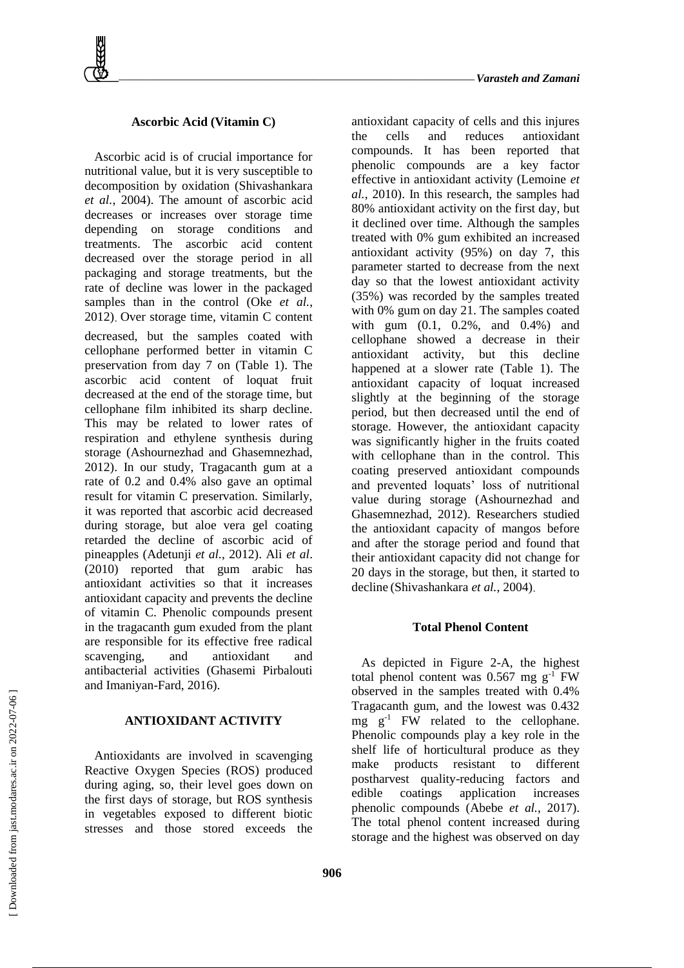## **Ascorbic Acid (Vitamin C)**

Ascorbic acid is of crucial importance for nutritional value, but it is very susceptible to decomposition by oxidation (Shivashankara *et al.*, 2004). The amount of ascorbic acid decreases or increases over storage time depending on storage conditions and treatments. The ascorbic acid content decreased over the storage period in all packaging and storage treatments, but the rate of decline was lower in the packaged samples than in the control (Oke *et al.*, 2012) Over storage time, vitamin C content decreased, but the samples coated with cellophane performed better in vitamin C preservation from day 7 on (Table 1). The ascorbic acid content of loquat fruit decreased at the end of the storage time, but cellophane film inhibited its sharp decline. This may be related to lower rates of respiration and ethylene synthesis during storage (Ashournezhad and Ghasemnezhad, 2012). In our study, Tragacanth gum at a rate of 0.2 and 0.4% also gave an optimal result for vitamin C preservation. Similarly, it was reported that ascorbic acid decreased during storage, but aloe vera gel coating retarded the decline of ascorbic acid of pineapples (Adetunji *et al.*, 2012). Ali *et al*. (2010) reported that gum arabic has antioxidant activities so that it increases antioxidant capacity and prevents the decline of vitamin C. Phenolic compounds present in the tragacanth gum exuded from the plant are responsible for its effective free radical scavenging, and antioxidant and antibacterial activities (Ghasemi Pirbalouti and Imaniyan-Fard, 2016).

## **ANTIOXIDANT ACTIVITY**

Antioxidants are involved in scavenging Reactive Oxygen Species (ROS) produced during aging, so, their level goes down on the first days of storage, but ROS synthesis in vegetables exposed to different biotic stresses and those stored exceeds the

antioxidant capacity of cells and this injures the cells and reduces antioxidant compounds. It has been reported that phenolic compounds are a key factor effective in antioxidant activity (Lemoine *et al.*, 2010). In this research, the samples had 80% antioxidant activity on the first day, but it declined over time. Although the samples treated with 0% gum exhibited an increased antioxidant activity (95%) on day 7, this parameter started to decrease from the next day so that the lowest antioxidant activity (35%) was recorded by the samples treated with 0% gum on day 21. The samples coated with gum (0.1, 0.2%, and 0.4%) and cellophane showed a decrease in their antioxidant activity, but this decline happened at a slower rate (Table 1). The antioxidant capacity of loquat increased slightly at the beginning of the storage period, but then decreased until the end of storage. However, the antioxidant capacity was significantly higher in the fruits coated with cellophane than in the control. This coating preserved antioxidant compounds and prevented loquats' loss of nutritional value during storage (Ashournezhad and Ghasemnezhad, 2012). Researchers studied the antioxidant capacity of mangos before and after the storage period and found that their antioxidant capacity did not change for 20 days in the storage, but then, it started to decline (Shivashankara *et al.*, 2004)

### **Total Phenol Content**

As depicted in Figure 2-A, the highest total phenol content was  $0.567$  mg g<sup>-1</sup> FW observed in the samples treated with 0.4% Tragacanth gum, and the lowest was 0.432 mg  $g^{-1}$  FW related to the cellophane. Phenolic compounds play a key role in the shelf life of horticultural produce as they make products resistant to different postharvest quality-reducing factors and edible coatings application increases phenolic compounds (Abebe *et al.*, 2017). The total phenol content increased during storage and the highest was observed on day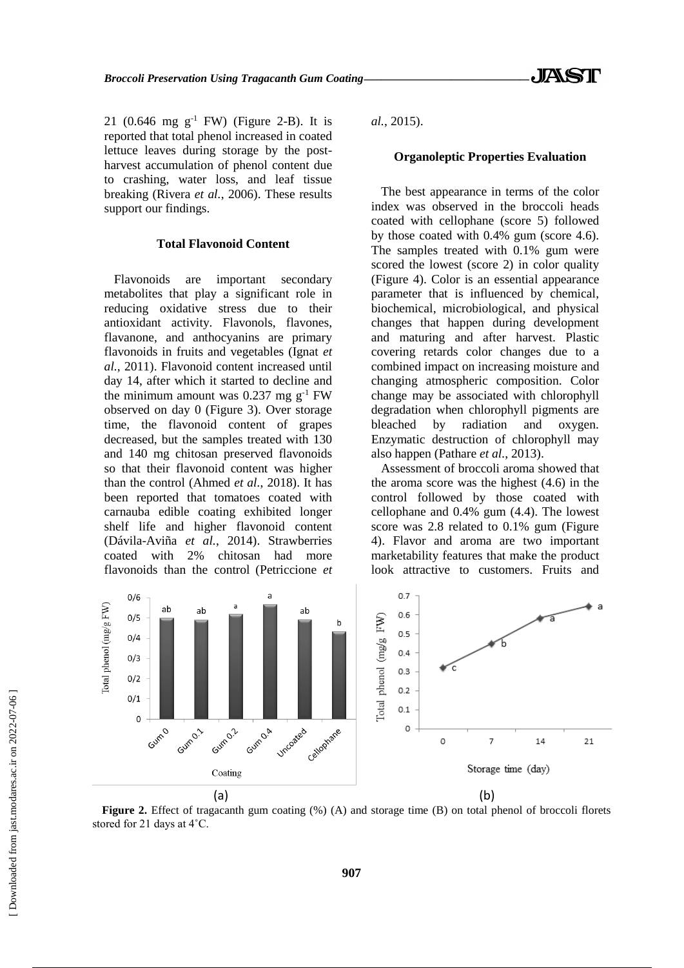21 (0.646 mg  $g^{-1}$  FW) (Figure 2-B). It is reported that total phenol increased in coated lettuce leaves during storage by the postharvest accumulation of phenol content due to crashing, water loss, and leaf tissue breaking (Rivera *et al.*, 2006). These results support our findings.

#### **Total Flavonoid Content**

Flavonoids are important secondary metabolites that play a significant role in reducing oxidative stress due to their antioxidant activity. Flavonols, flavones, flavanone, and anthocyanins are primary flavonoids in fruits and vegetables (Ignat *et al.*, 2011). Flavonoid content increased until day 14, after which it started to decline and the minimum amount was 0.237 mg  $g^{-1}$  FW observed on day 0 (Figure 3). Over storage time, the flavonoid content of grapes decreased, but the samples treated with 130 and 140 mg chitosan preserved flavonoids so that their flavonoid content was higher than the control (Ahmed *et al.*, 2018). It has been reported that tomatoes coated with carnauba edible coating exhibited longer shelf life and higher flavonoid content (Dávila-Aviña *et al.*, 2014). Strawberries coated with 2% chitosan had more flavonoids than the control (Petriccione *et*  *al.*, 2015).

#### **Organoleptic Properties Evaluation**

The best appearance in terms of the color index was observed in the broccoli heads coated with cellophane (score 5) followed by those coated with 0.4% gum (score 4.6). The samples treated with 0.1% gum were scored the lowest (score 2) in color quality (Figure 4). Color is an essential appearance parameter that is influenced by chemical, biochemical, microbiological, and physical changes that happen during development and maturing and after harvest. Plastic covering retards color changes due to a combined impact on increasing moisture and changing atmospheric composition. Color change may be associated with chlorophyll degradation when chlorophyll pigments are bleached by radiation and oxygen. Enzymatic destruction of chlorophyll may also happen (Pathare *et al.*, 2013).

Assessment of broccoli aroma showed that the aroma score was the highest (4.6) in the control followed by those coated with cellophane and 0.4% gum (4.4). The lowest score was 2.8 related to 0.1% gum (Figure 4). Flavor and aroma are two important marketability features that make the product look attractive to customers. Fruits and



Figure 2. Effect of tragacanth gum coating (%) (A) and storage time (B) on total phenol of broccoli florets stored for 21 days at 4˚C.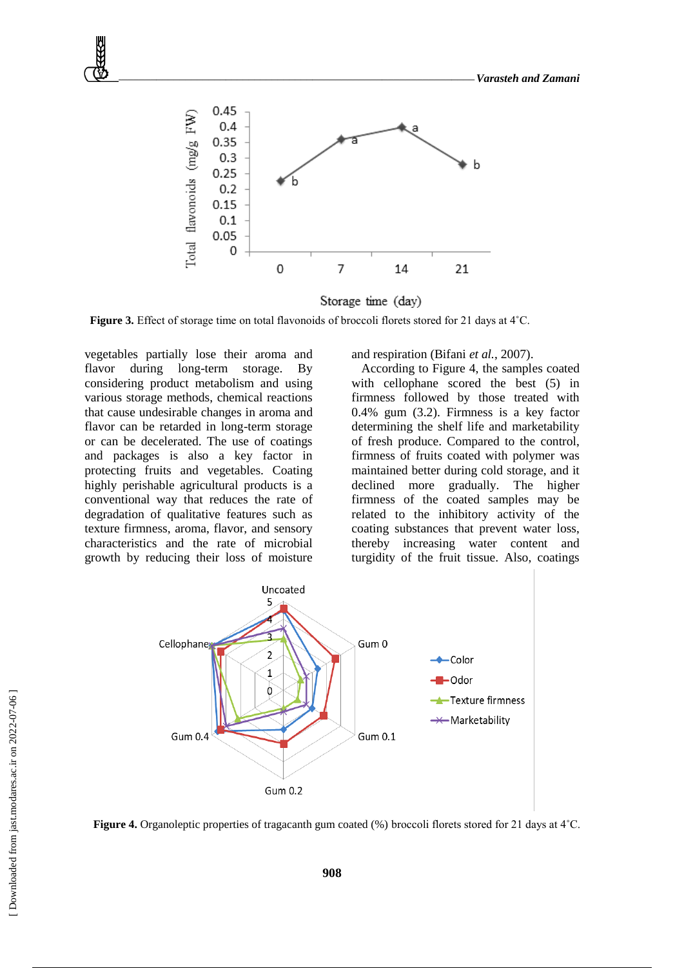

Storage time (day)

Figure 3. Effect of storage time on total flavonoids of broccoli florets stored for 21 days at 4°C.

vegetables partially lose their aroma and flavor during long-term storage. By considering product metabolism and using various storage methods, chemical reactions that cause undesirable changes in aroma and flavor can be retarded in long-term storage or can be decelerated. The use of coatings and packages is also a key factor in protecting fruits and vegetables. Coating highly perishable agricultural products is a conventional way that reduces the rate of degradation of qualitative features such as texture firmness, aroma, flavor, and sensory characteristics and the rate of microbial growth by reducing their loss of moisture

and respiration (Bifani *et al.*, 2007).

According to Figure 4, the samples coated with cellophane scored the best (5) in firmness followed by those treated with 0.4% gum (3.2). Firmness is a key factor determining the shelf life and marketability of fresh produce. Compared to the control, firmness of fruits coated with polymer was maintained better during cold storage, and it declined more gradually. The higher firmness of the coated samples may be related to the inhibitory activity of the coating substances that prevent water loss, thereby increasing water content and turgidity of the fruit tissue. Also, coatings



**Figure 4.** Organoleptic properties of tragacanth gum coated (%) broccoli florets stored for 21 days at 4˚C.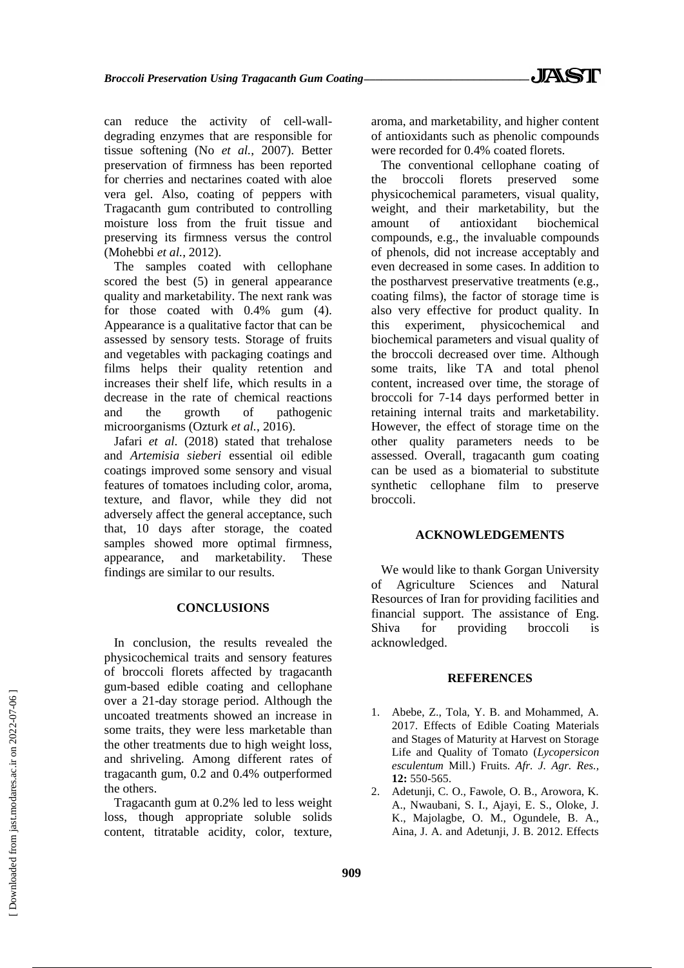can reduce the activity of cell-walldegrading enzymes that are responsible for tissue softening (No *et al.*, 2007). Better preservation of firmness has been reported for cherries and nectarines coated with aloe vera gel. Also, coating of peppers with Tragacanth gum contributed to controlling moisture loss from the fruit tissue and preserving its firmness versus the control (Mohebbi *et al.*, 2012).

The samples coated with cellophane scored the best (5) in general appearance quality and marketability. The next rank was for those coated with 0.4% gum (4). Appearance is a qualitative factor that can be assessed by sensory tests. Storage of fruits and vegetables with packaging coatings and films helps their quality retention and increases their shelf life, which results in a decrease in the rate of chemical reactions and the growth of pathogenic microorganisms (Ozturk *et al.*, 2016).

Jafari *et al*. (2018) stated that trehalose and *Artemisia sieberi* essential oil edible coatings improved some sensory and visual features of tomatoes including color, aroma, texture, and flavor, while they did not adversely affect the general acceptance, such that, 10 days after storage, the coated samples showed more optimal firmness, appearance, and marketability. These findings are similar to our results.

#### **CONCLUSIONS**

In conclusion, the results revealed the physicochemical traits and sensory features of broccoli florets affected by tragacanth gum-based edible coating and cellophane over a 21-day storage period. Although the uncoated treatments showed an increase in some traits, they were less marketable than the other treatments due to high weight loss, and shriveling. Among different rates of tragacanth gum, 0.2 and 0.4% outperformed the others.

Tragacanth gum at 0.2% led to less weight loss, though appropriate soluble solids content, titratable acidity, color, texture, aroma, and marketability, and higher content of antioxidants such as phenolic compounds were recorded for 0.4% coated florets.

The conventional cellophane coating of the broccoli florets preserved some physicochemical parameters, visual quality, weight, and their marketability, but the amount of antioxidant biochemical compounds, e.g., the invaluable compounds of phenols, did not increase acceptably and even decreased in some cases. In addition to the postharvest preservative treatments (e.g., coating films), the factor of storage time is also very effective for product quality. In this experiment, physicochemical and biochemical parameters and visual quality of the broccoli decreased over time. Although some traits, like TA and total phenol content, increased over time, the storage of broccoli for 7-14 days performed better in retaining internal traits and marketability. However, the effect of storage time on the other quality parameters needs to be assessed. Overall, tragacanth gum coating can be used as a biomaterial to substitute synthetic cellophane film to preserve broccoli.

### **ACKNOWLEDGEMENTS**

We would like to thank Gorgan University of Agriculture Sciences and Natural Resources of Iran for providing facilities and financial support. The assistance of Eng. Shiva for providing broccoli is acknowledged.

### **REFERENCES**

- 1. Abebe, Z., Tola, Y. B. and Mohammed, A. 2017. Effects of Edible Coating Materials and Stages of Maturity at Harvest on Storage Life and Quality of Tomato (*Lycopersicon esculentum* Mill.) Fruits. *Afr. J. Agr. Res.,* **12:** 550-565.
- 2. Adetunji, C. O., Fawole, O. B., Arowora, K. A., Nwaubani, S. I., Ajayi, E. S., Oloke, J. K., Majolagbe, O. M., Ogundele, B. A., Aina, J. A. and Adetunji, J. B. 2012. Effects

 [\[ Downloaded from jast.modares.ac.ir on 2](https://jast.modares.ac.ir/article-23-51199-en.html)022-07-06 ] Downloaded from jast.modares.ac.ir on 2022-07-06]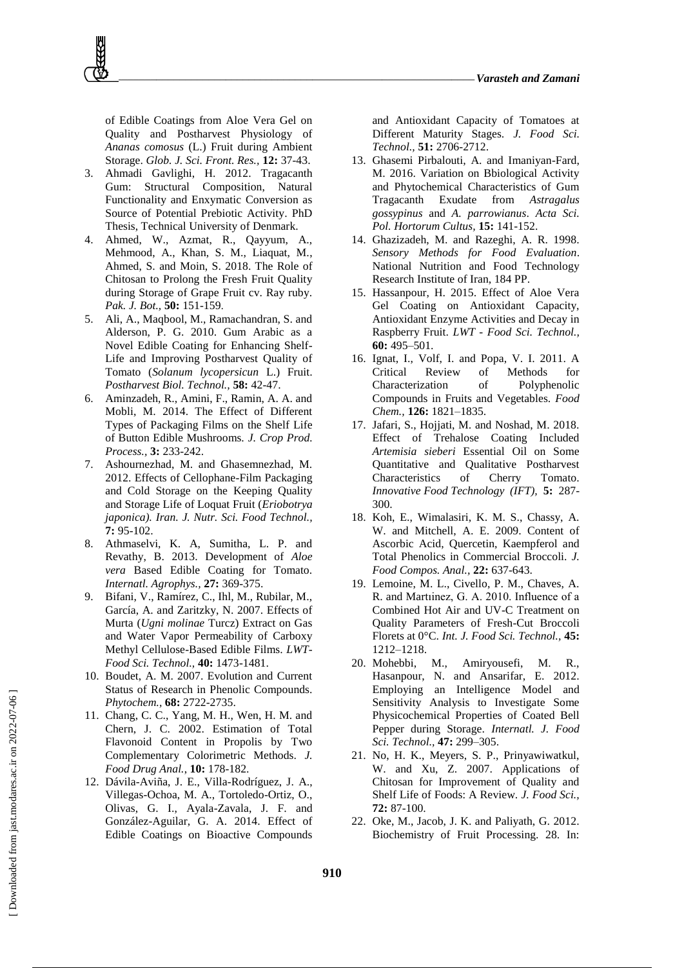of Edible Coatings from Aloe Vera Gel on Quality and Postharvest Physiology of *Ananas comosus* (L.) Fruit during Ambient Storage. *Glob. J. Sci. Front. Res.,* **12:** 37-43.

- 3. Ahmadi Gavlighi, H. 2012. Tragacanth Gum: Structural Composition, Natural Functionality and Enxymatic Conversion as Source of Potential Prebiotic Activity. PhD Thesis, Technical University of Denmark.
- 4. Ahmed, W., Azmat, R., Qayyum, A., Mehmood, A., Khan, S. M., Liaquat, M., Ahmed, S. and Moin, S. 2018. The Role of Chitosan to Prolong the Fresh Fruit Quality during Storage of Grape Fruit cv. Ray ruby. *Pak. J. Bot.,* **50:** 151-159.
- 5. Ali, A., Maqbool, M., Ramachandran, S. and Alderson, P. G. 2010. Gum Arabic as a Novel Edible Coating for Enhancing Shelf-Life and Improving Postharvest Quality of Tomato (*Solanum lycopersicun* L.) Fruit. *Postharvest Biol. Technol.,* **58:** 42-47.
- 6. Aminzadeh, R., Amini, F., Ramin, A. A. and Mobli, M. 2014. The Effect of Different Types of Packaging Films on the Shelf Life of Button Edible Mushrooms. *J. Crop Prod. Process.,* **3:** 233-242.
- 7. Ashournezhad, M. and Ghasemnezhad, M. 2012. Effects of Cellophane-Film Packaging and Cold Storage on the Keeping Quality and Storage Life of Loquat Fruit (*Eriobotrya japonica). Iran. J. Nutr. Sci. Food Technol.,*  **7:** 95-102.
- 8. Athmaselvi, K. A, Sumitha, L. P. and Revathy, B. 2013. Development of *Aloe vera* Based Edible Coating for Tomato. *Internatl. Agrophys.,* **27:** 369-375.
- 9. Bifani, V., Ramírez, C., Ihl, M., Rubilar, M., García, A. and Zaritzky, N. 2007. Effects of Murta (*Ugni molinae* Turcz) Extract on Gas and Water Vapor Permeability of Carboxy Methyl Cellulose-Based Edible Films. *LWT-Food Sci. Technol.,* **40:** 1473-1481.
- 10. Boudet, A. M. 2007. Evolution and Current Status of Research in Phenolic Compounds. *Phytochem.,* **68:** 2722-2735.
- 11. Chang, C. C., Yang, M. H., Wen, H. M. and Chern, J. C. 2002. Estimation of Total Flavonoid Content in Propolis by Two Complementary Colorimetric Methods. *J. Food Drug Anal.*, **10:** 178-182.
- 12. Dávila-Aviña, J. E., Villa-Rodríguez, J. A., Villegas-Ochoa, M. A., Tortoledo-Ortiz, O., Olivas, G. I., Ayala-Zavala, J. F. and González-Aguilar, G. A. 2014. Effect of Edible Coatings on Bioactive Compounds

and Antioxidant Capacity of Tomatoes at Different Maturity Stages. *J. Food Sci. Technol.,* **51:** 2706-2712.

- 13. Ghasemi Pirbalouti, A. and Imaniyan-Fard, M. 2016. Variation on Bbiological Activity and Phytochemical Characteristics of Gum Tragacanth Exudate from *Astragalus gossypinus* and *A. parrowianus*. *Acta Sci. Pol. Hortorum Cultus,* **15:** 141-152.
- 14. Ghazizadeh, M. and Razeghi, A. R. 1998. *Sensory Methods for Food Evaluation*. National Nutrition and Food Technology Research Institute of Iran, 184 PP.
- 15. Hassanpour, H. 2015. Effect of Aloe Vera Gel Coating on Antioxidant Capacity, Antioxidant Enzyme Activities and Decay in Raspberry Fruit. *LWT - Food Sci. Technol.,* **60:** 495–501.
- 16. Ignat, I., Volf, I. and Popa, V. I. 2011. A Critical Review of Methods for Characterization of Polyphenolic Compounds in Fruits and Vegetables. *Food Chem.,* **126:** 1821–1835.
- 17. Jafari, S., Hojjati, M. and Noshad, M. 2018. Effect of Trehalose Coating Included *Artemisia sieberi* Essential Oil on Some Quantitative and Qualitative Postharvest Characteristics of Cherry Tomato. *Innovative Food Technology (IFT),* **5:** 287- 300.
- 18. Koh, E., Wimalasiri, K. M. S., Chassy, A. W. and Mitchell, A. E. 2009. Content of Ascorbic Acid, Quercetin, Kaempferol and Total Phenolics in Commercial Broccoli. *J. Food Compos. Anal.,* **22:** 637-643.
- 19. Lemoine, M. L., Civello, P. M., Chaves, A. R. and Martıinez, G. A. 2010. Influence of a Combined Hot Air and UV-C Treatment on Quality Parameters of Fresh-Cut Broccoli Florets at 0°C. *Int. J. Food Sci. Technol.,* **45:** 1212–1218.
- 20. Mohebbi, M., Amiryousefi, M. R., Hasanpour, N. and Ansarifar, E. 2012. Employing an Intelligence Model and Sensitivity Analysis to Investigate Some Physicochemical Properties of Coated Bell Pepper during Storage. *Internatl. J. Food Sci. Technol.,* **47:** 299–305.
- 21. No, H. K., Meyers, S. P., Prinyawiwatkul, W. and Xu, Z. 2007. Applications of Chitosan for Improvement of Quality and Shelf Life of Foods: A Review. *J. Food Sci.,*  **72:** 87-100.
- 22. Oke, M., Jacob, J. K. and Paliyath, G. 2012. Biochemistry of Fruit Processing. 28. In: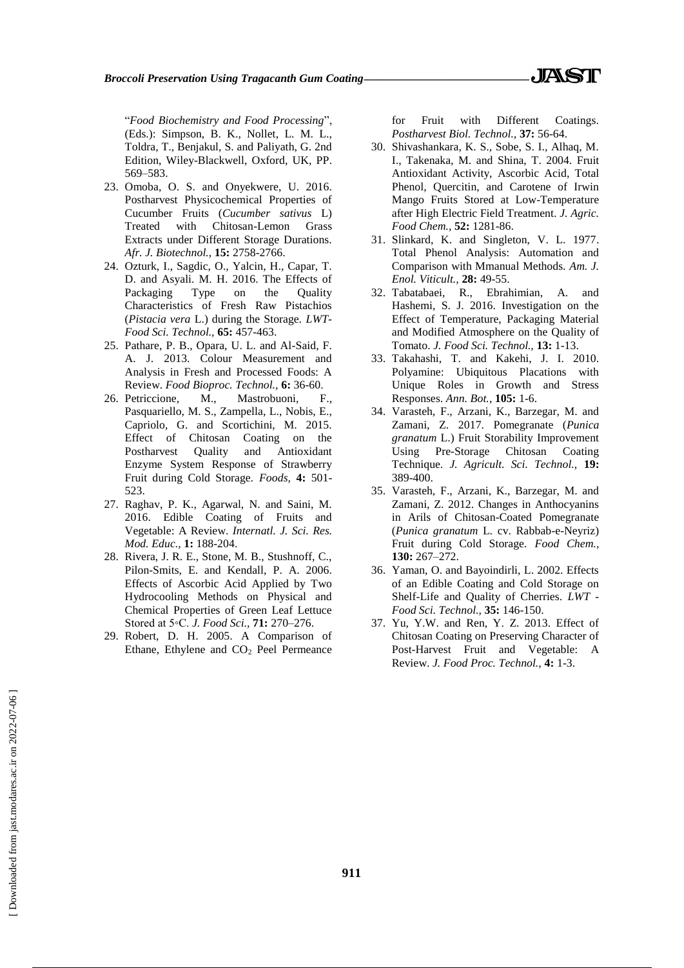*Broccoli Preservation Using Tragacanth Gum Coating\_\_\_\_\_\_\_\_\_\_\_\_\_\_\_\_\_\_\_\_\_\_\_\_\_\_\_\_\_*

"*Food Biochemistry and Food Processing*", (Eds.): Simpson, B. K., Nollet, L. M. L., Toldra, T., Benjakul, S. and Paliyath, G. 2nd Edition, Wiley-Blackwell, Oxford, UK, PP. 569–583.

- 23. Omoba, O. S. and Onyekwere, U. 2016. Postharvest Physicochemical Properties of Cucumber Fruits (*Cucumber sativus* L) Treated with Chitosan-Lemon Grass Extracts under Different Storage Durations. *Afr. J. Biotechnol.,* **15:** 2758-2766.
- 24. Ozturk, I., Sagdic, O., Yalcin, H., Capar, T. D. and Asyali. M. H. 2016. The Effects of Packaging Type on the Quality Characteristics of Fresh Raw Pistachios (*Pistacia vera* L.) during the Storage. *LWT-Food Sci. Technol.,* **65:** 457-463.
- 25. Pathare, P. B., Opara, U. L. and Al-Said, F. A. J. 2013. Colour Measurement and Analysis in Fresh and Processed Foods: A Review. *Food Bioproc. Technol.,* **6:** 36-60.
- 26. Petriccione, M., Mastrobuoni, F., Pasquariello, M. S., Zampella, L., Nobis, E., Capriolo, G. and Scortichini, M. 2015. Effect of Chitosan Coating on the Postharvest Quality and Antioxidant Enzyme System Response of Strawberry Fruit during Cold Storage. *Foods,* **4:** 501- 523.
- 27. Raghav, P. K., Agarwal, N. and Saini, M. 2016. Edible Coating of Fruits and Vegetable: A Review. *Internatl. J. Sci. Res. Mod. Educ.,* **1:** 188-204.
- 28. Rivera, J. R. E., Stone, M. B., Stushnoff, C., Pilon-Smits, E. and Kendall, P. A. 2006. Effects of Ascorbic Acid Applied by Two Hydrocooling Methods on Physical and Chemical Properties of Green Leaf Lettuce Stored at 5◦C. *J. Food Sci.,* **71:** 270–276.
- 29. Robert, D. H. 2005. A Comparison of Ethane, Ethylene and CO<sub>2</sub> Peel Permeance

for Fruit with Different Coatings. *Postharvest Biol. Technol.,* **37:** 56-64.

- 30. Shivashankara, K. S., Sobe, S. I., Alhaq, M. I., Takenaka, M. and Shina, T. 2004. Fruit Antioxidant Activity, Ascorbic Acid, Total Phenol, Quercitin, and Carotene of Irwin Mango Fruits Stored at Low-Temperature after High Electric Field Treatment. *J. Agric. Food Chem.,* **52:** 1281-86.
- 31. Slinkard, K. and Singleton, V. L. 1977. Total Phenol Analysis: Automation and Comparison with Mmanual Methods. *Am. J. Enol. Viticult.,* **28:** 49-55.
- 32. Tabatabaei, R., Ebrahimian, A. and Hashemi, S. J. 2016. Investigation on the Effect of Temperature, Packaging Material and Modified Atmosphere on the Quality of Tomato. *J. Food Sci. Technol.,* **13:** 1-13.
- 33. Takahashi, T. and Kakehi, J. I. 2010. Polyamine: Ubiquitous Placations with Unique Roles in Growth and Stress Responses. *Ann. Bot.*, **105:** 1-6.
- 34. Varasteh, F., Arzani, K., Barzegar, M. and Zamani, Z. 2017. Pomegranate (*Punica granatum* L.) Fruit Storability Improvement Using Pre-Storage Chitosan Coating Technique. *J. Agricult. Sci. Technol.,* **19:** 389-400.
- 35. Varasteh, F., Arzani, K., Barzegar, M. and Zamani, Z. 2012. Changes in Anthocyanins in Arils of Chitosan-Coated Pomegranate (*Punica granatum* L. cv. Rabbab-e-Neyriz) Fruit during Cold Storage. *Food Chem.,* **130:** 267–272.
- 36. Yaman, O. and Bayoindirli, L. 2002. Effects of an Edible Coating and Cold Storage on Shelf-Life and Quality of Cherries. *LWT - Food Sci. Technol.,* **35:** 146-150.
- 37. Yu, Y.W. and Ren, Y. Z. 2013. Effect of Chitosan Coating on Preserving Character of Post-Harvest Fruit and Vegetable: A Review. *J. Food Proc. Technol.,* **4:** 1-3.